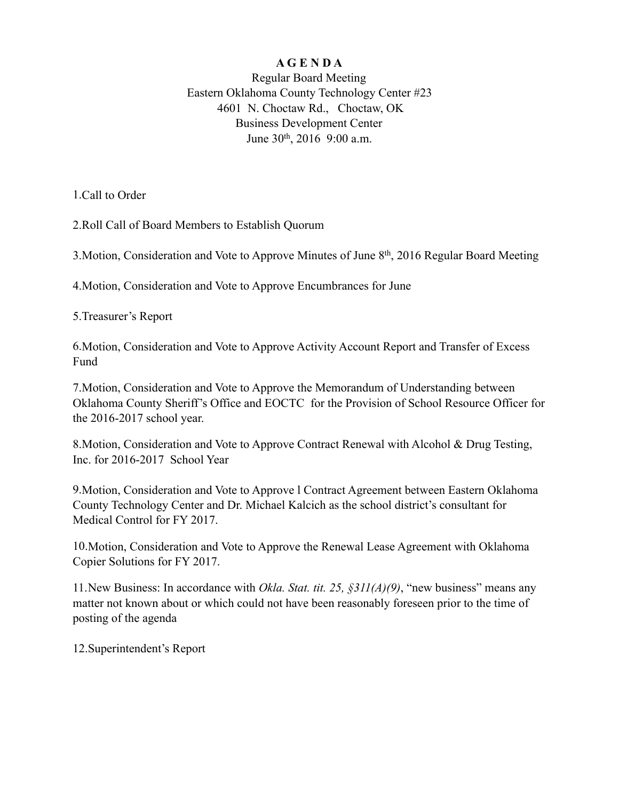## **A G E N D A**

Regular Board Meeting Eastern Oklahoma County Technology Center #23 4601 N. Choctaw Rd., Choctaw, OK Business Development Center June 30th, 2016 9:00 a.m.

1.Call to Order

2.Roll Call of Board Members to Establish Quorum

3.Motion, Consideration and Vote to Approve Minutes of June 8th, 2016 Regular Board Meeting

4.Motion, Consideration and Vote to Approve Encumbrances for June

5.Treasurer's Report

6.Motion, Consideration and Vote to Approve Activity Account Report and Transfer of Excess Fund

7.Motion, Consideration and Vote to Approve the Memorandum of Understanding between Oklahoma County Sheriff's Office and EOCTC for the Provision of School Resource Officer for the 2016-2017 school year.

8.Motion, Consideration and Vote to Approve Contract Renewal with Alcohol & Drug Testing, Inc. for 2016-2017 School Year

9.Motion, Consideration and Vote to Approve l Contract Agreement between Eastern Oklahoma County Technology Center and Dr. Michael Kalcich as the school district's consultant for Medical Control for FY 2017.

10.Motion, Consideration and Vote to Approve the Renewal Lease Agreement with Oklahoma Copier Solutions for FY 2017.

11.New Business: In accordance with *Okla. Stat. tit. 25, §311(A)(9)*, "new business" means any matter not known about or which could not have been reasonably foreseen prior to the time of posting of the agenda

12.Superintendent's Report